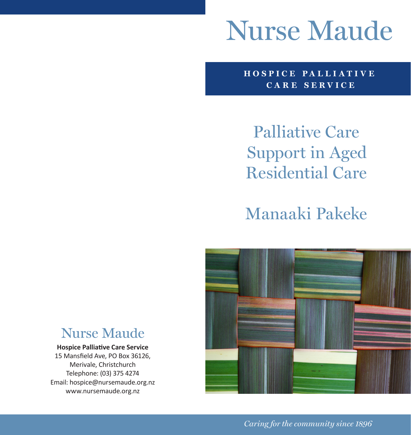# **Nurse Maude**

**HOSPICE PA LLI ATI V E CARE SERVICE**

Palliative Care Support in Aged Residential Care

Manaaki Pakeke



# **Nurse Mande**

#### **Hospice Palliative Care Service**

15 Mansfield Ave, PO Box 36126, Merivale, Christchurch Telephone: (03) 375 4274 Email: hospice@nursemaude.org.nz www.nursemaude.org.nz

*Caring for the community since 1896*